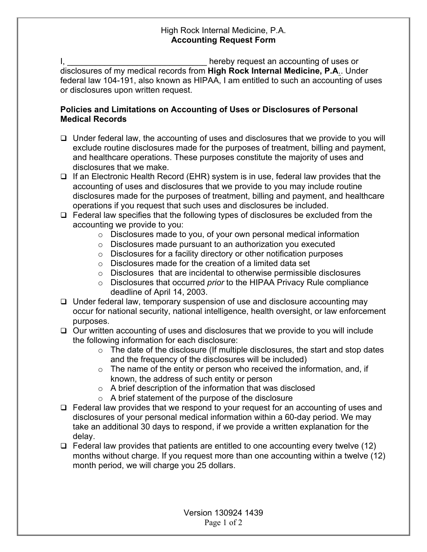## High Rock Internal Medicine, P.A. **Accounting Request Form**

I, the contract of the contract of the hereby request an accounting of uses or disclosures of my medical records from **High Rock Internal Medicine, P.A**.. Under federal law 104-191, also known as HIPAA, I am entitled to such an accounting of uses or disclosures upon written request.

## **Policies and Limitations on Accounting of Uses or Disclosures of Personal Medical Records**

- $\Box$  Under federal law, the accounting of uses and disclosures that we provide to you will exclude routine disclosures made for the purposes of treatment, billing and payment, and healthcare operations. These purposes constitute the majority of uses and disclosures that we make.
- $\Box$  If an Electronic Health Record (EHR) system is in use, federal law provides that the accounting of uses and disclosures that we provide to you may include routine disclosures made for the purposes of treatment, billing and payment, and healthcare operations if you request that such uses and disclosures be included.
- $\Box$  Federal law specifies that the following types of disclosures be excluded from the accounting we provide to you:
	- o Disclosures made to you, of your own personal medical information
	- $\circ$  Disclosures made pursuant to an authorization you executed
	- $\circ$  Disclosures for a facility directory or other notification purposes
	- $\circ$  Disclosures made for the creation of a limited data set
	- o Disclosures that are incidental to otherwise permissible disclosures
	- o Disclosures that occurred *prior* to the HIPAA Privacy Rule compliance deadline of April 14, 2003.
- $\Box$  Under federal law, temporary suspension of use and disclosure accounting may occur for national security, national intelligence, health oversight, or law enforcement purposes.
- $\Box$  Our written accounting of uses and disclosures that we provide to you will include the following information for each disclosure:
	- $\circ$  The date of the disclosure (If multiple disclosures, the start and stop dates and the frequency of the disclosures will be included)
	- $\circ$  The name of the entity or person who received the information, and, if known, the address of such entity or person
	- o A brief description of the information that was disclosed
	- o A brief statement of the purpose of the disclosure
- $\Box$  Federal law provides that we respond to your request for an accounting of uses and disclosures of your personal medical information within a 60-day period. We may take an additional 30 days to respond, if we provide a written explanation for the delay.
- $\Box$  Federal law provides that patients are entitled to one accounting every twelve (12) months without charge. If you request more than one accounting within a twelve (12) month period, we will charge you 25 dollars.

Version 130924 1439 Page 1 of 2